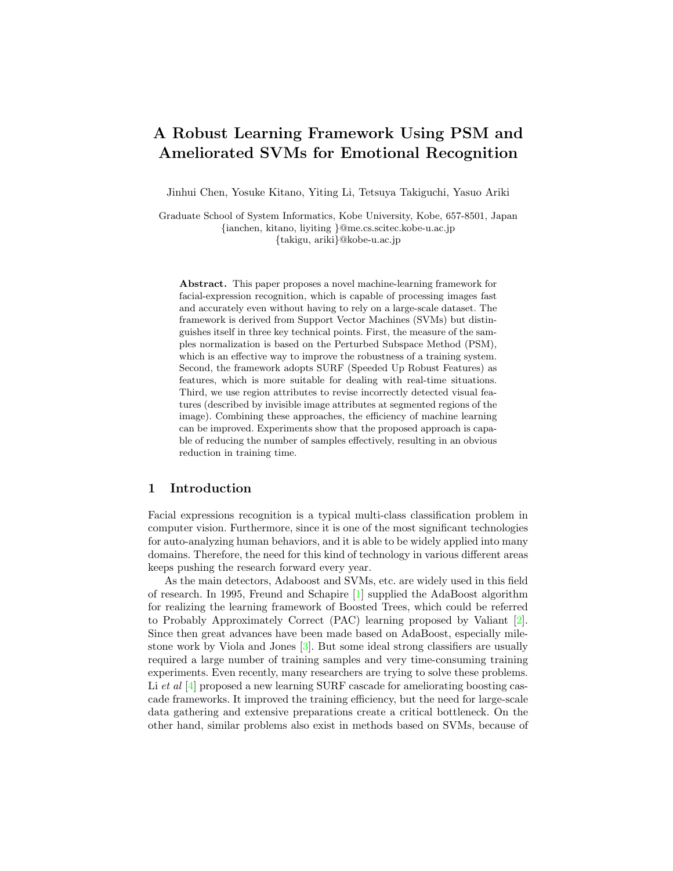# A Robust Learning Framework Using PSM and Ameliorated SVMs for Emotional Recognition

Jinhui Chen, Yosuke Kitano, Yiting Li, Tetsuya Takiguchi, Yasuo Ariki

Graduate School of System Informatics, Kobe University, Kobe, 657-8501, Japan {ianchen, kitano, liyiting }@me.cs.scitec.kobe-u.ac.jp {takigu, ariki}@kobe-u.ac.jp

Abstract. This paper proposes a novel machine-learning framework for facial-expression recognition, which is capable of processing images fast and accurately even without having to rely on a large-scale dataset. The framework is derived from Support Vector Machines (SVMs) but distinguishes itself in three key technical points. First, the measure of the samples normalization is based on the Perturbed Subspace Method (PSM), which is an effective way to improve the robustness of a training system. Second, the framework adopts SURF (Speeded Up Robust Features) as features, which is more suitable for dealing with real-time situations. Third, we use region attributes to revise incorrectly detected visual features (described by invisible image attributes at segmented regions of the image). Combining these approaches, the efficiency of machine learning can be improved. Experiments show that the proposed approach is capable of reducing the number of samples effectively, resulting in an obvious reduction in training time.

# 1 Introduction

Facial expressions recognition is a typical multi-class classification problem in computer vision. Furthermore, since it is one of the most significant technologies for auto-analyzing human behaviors, and it is able to be widely applied into many domains. Therefore, the need for this kind of technology in various different areas keeps pushing the research forward every year.

As the main detectors, Adaboost and SVMs, etc. are widely used in this field of research. In 1995, Freund and Schapire [\[1\]](#page-13-0) supplied the AdaBoost algorithm for realizing the learning framework of Boosted Trees, which could be referred to Probably Approximately Correct (PAC) learning proposed by Valiant [\[2\]](#page-13-1). Since then great advances have been made based on AdaBoost, especially milestone work by Viola and Jones [\[3\]](#page-13-2). But some ideal strong classifiers are usually required a large number of training samples and very time-consuming training experiments. Even recently, many researchers are trying to solve these problems. Li et al [\[4\]](#page-13-3) proposed a new learning SURF cascade for ameliorating boosting cascade frameworks. It improved the training efficiency, but the need for large-scale data gathering and extensive preparations create a critical bottleneck. On the other hand, similar problems also exist in methods based on SVMs, because of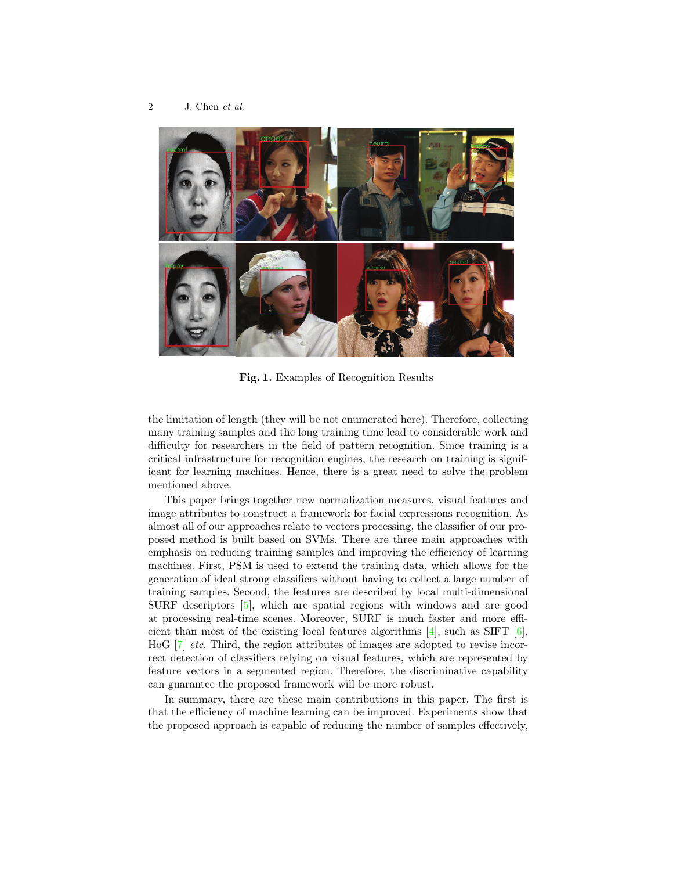

Fig. 1. Examples of Recognition Results

<span id="page-1-0"></span>the limitation of length (they will be not enumerated here). Therefore, collecting many training samples and the long training time lead to considerable work and difficulty for researchers in the field of pattern recognition. Since training is a critical infrastructure for recognition engines, the research on training is significant for learning machines. Hence, there is a great need to solve the problem mentioned above.

This paper brings together new normalization measures, visual features and image attributes to construct a framework for facial expressions recognition. As almost all of our approaches relate to vectors processing, the classifier of our proposed method is built based on SVMs. There are three main approaches with emphasis on reducing training samples and improving the efficiency of learning machines. First, PSM is used to extend the training data, which allows for the generation of ideal strong classifiers without having to collect a large number of training samples. Second, the features are described by local multi-dimensional SURF descriptors [\[5\]](#page-13-4), which are spatial regions with windows and are good at processing real-time scenes. Moreover, SURF is much faster and more effi-cient than most of the existing local features algorithms [\[4\]](#page-13-3), such as SIFT [\[6\]](#page-13-5), HoG [\[7\]](#page-13-6) etc. Third, the region attributes of images are adopted to revise incorrect detection of classifiers relying on visual features, which are represented by feature vectors in a segmented region. Therefore, the discriminative capability can guarantee the proposed framework will be more robust.

In summary, there are these main contributions in this paper. The first is that the efficiency of machine learning can be improved. Experiments show that the proposed approach is capable of reducing the number of samples effectively,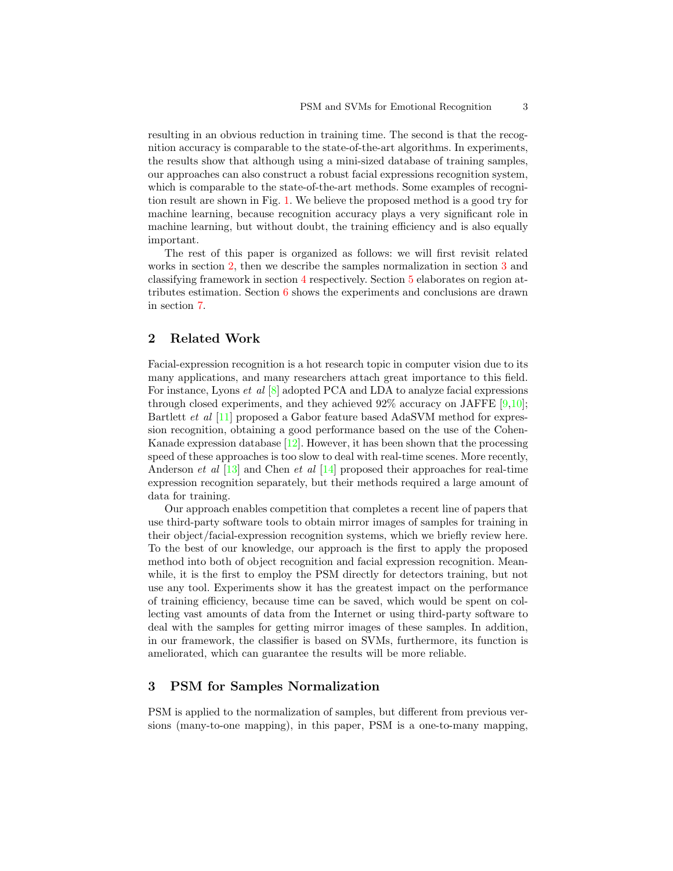resulting in an obvious reduction in training time. The second is that the recognition accuracy is comparable to the state-of-the-art algorithms. In experiments, the results show that although using a mini-sized database of training samples, our approaches can also construct a robust facial expressions recognition system, which is comparable to the state-of-the-art methods. Some examples of recognition result are shown in Fig. [1.](#page-1-0) We believe the proposed method is a good try for machine learning, because recognition accuracy plays a very significant role in machine learning, but without doubt, the training efficiency and is also equally important.

The rest of this paper is organized as follows: we will first revisit related works in section [2,](#page-2-0) then we describe the samples normalization in section [3](#page-2-1) and classifying framework in section [4](#page-5-0) respectively. Section [5](#page-7-0) elaborates on region attributes estimation. Section [6](#page-8-0) shows the experiments and conclusions are drawn in section [7.](#page-13-7)

# <span id="page-2-0"></span>2 Related Work

Facial-expression recognition is a hot research topic in computer vision due to its many applications, and many researchers attach great importance to this field. For instance, Lyons *et al* [\[8\]](#page-14-0) adopted PCA and LDA to analyze facial expressions through closed experiments, and they achieved  $92\%$  accuracy on JAFFE  $[9,10]$  $[9,10]$ ; Bartlett et al [\[11\]](#page-14-3) proposed a Gabor feature based AdaSVM method for expression recognition, obtaining a good performance based on the use of the Cohen-Kanade expression database [\[12\]](#page-14-4). However, it has been shown that the processing speed of these approaches is too slow to deal with real-time scenes. More recently, Anderson *et al* [\[13\]](#page-14-5) and Chen *et al* [\[14\]](#page-14-6) proposed their approaches for real-time expression recognition separately, but their methods required a large amount of data for training.

Our approach enables competition that completes a recent line of papers that use third-party software tools to obtain mirror images of samples for training in their object/facial-expression recognition systems, which we briefly review here. To the best of our knowledge, our approach is the first to apply the proposed method into both of object recognition and facial expression recognition. Meanwhile, it is the first to employ the PSM directly for detectors training, but not use any tool. Experiments show it has the greatest impact on the performance of training efficiency, because time can be saved, which would be spent on collecting vast amounts of data from the Internet or using third-party software to deal with the samples for getting mirror images of these samples. In addition, in our framework, the classifier is based on SVMs, furthermore, its function is ameliorated, which can guarantee the results will be more reliable.

# <span id="page-2-1"></span>3 PSM for Samples Normalization

PSM is applied to the normalization of samples, but different from previous versions (many-to-one mapping), in this paper, PSM is a one-to-many mapping,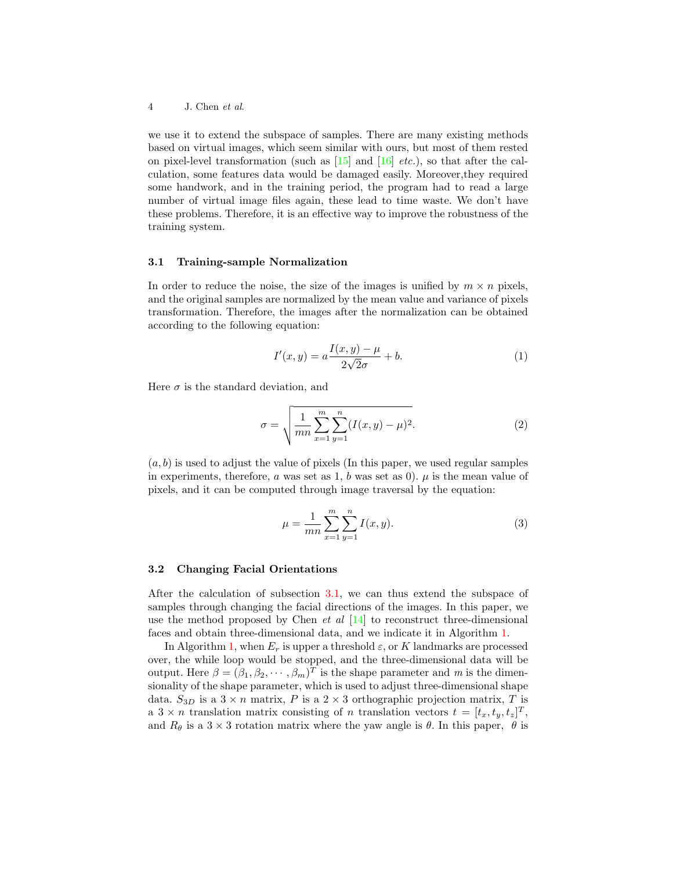we use it to extend the subspace of samples. There are many existing methods based on virtual images, which seem similar with ours, but most of them rested on pixel-level transformation (such as  $[15]$  and  $[16]$  *etc.*), so that after the calculation, some features data would be damaged easily. Moreover,they required some handwork, and in the training period, the program had to read a large number of virtual image files again, these lead to time waste. We don't have these problems. Therefore, it is an effective way to improve the robustness of the training system.

#### <span id="page-3-0"></span>3.1 Training-sample Normalization

In order to reduce the noise, the size of the images is unified by  $m \times n$  pixels, and the original samples are normalized by the mean value and variance of pixels transformation. Therefore, the images after the normalization can be obtained according to the following equation:

$$
I'(x,y) = a\frac{I(x,y) - \mu}{2\sqrt{2}\sigma} + b.
$$
 (1)

Here  $\sigma$  is the standard deviation, and

$$
\sigma = \sqrt{\frac{1}{mn} \sum_{x=1}^{m} \sum_{y=1}^{n} (I(x, y) - \mu)^2}.
$$
 (2)

 $(a, b)$  is used to adjust the value of pixels (In this paper, we used regular samples in experiments, therefore, a was set as 1, b was set as 0).  $\mu$  is the mean value of pixels, and it can be computed through image traversal by the equation:

$$
\mu = \frac{1}{mn} \sum_{x=1}^{m} \sum_{y=1}^{n} I(x, y).
$$
 (3)

#### 3.2 Changing Facial Orientations

After the calculation of subsection [3.1,](#page-3-0) we can thus extend the subspace of samples through changing the facial directions of the images. In this paper, we use the method proposed by Chen *et al*  $[14]$  to reconstruct three-dimensional faces and obtain three-dimensional data, and we indicate it in Algorithm [1.](#page-4-0)

In Algorithm [1,](#page-4-0) when  $E_r$  is upper a threshold  $\varepsilon$ , or K landmarks are processed over, the while loop would be stopped, and the three-dimensional data will be output. Here  $\beta = (\beta_1, \beta_2, \dots, \beta_m)^T$  is the shape parameter and m is the dimensionality of the shape parameter, which is used to adjust three-dimensional shape data.  $S_{3D}$  is a  $3 \times n$  matrix, P is a  $2 \times 3$  orthographic projection matrix, T is a  $3 \times n$  translation matrix consisting of n translation vectors  $t = [t_x, t_y, t_z]^T$ , and  $R_{\theta}$  is a 3 × 3 rotation matrix where the yaw angle is  $\theta$ . In this paper,  $\theta$  is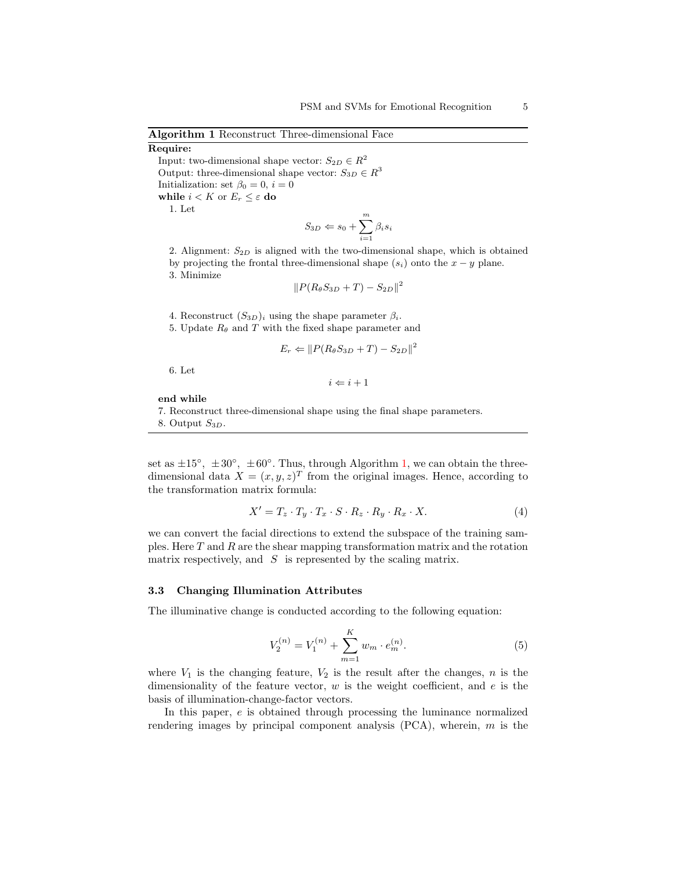Algorithm 1 Reconstruct Three-dimensional Face

#### <span id="page-4-0"></span>Require:

Input: two-dimensional shape vector:  $S_{2D} \in \mathbb{R}^2$ Output: three-dimensional shape vector:  $S_{3D} \in \mathbb{R}^3$ Initialization: set  $\beta_0 = 0, i = 0$ while  $i < K$  or  $E_r \leq \varepsilon$  do 1. Let

$$
S_{3D} \Leftarrow s_0 + \sum_{i=1}^{m} \beta_i s_i
$$

2. Alignment:  $S_{2D}$  is aligned with the two-dimensional shape, which is obtained by projecting the frontal three-dimensional shape  $(s_i)$  onto the  $x - y$  plane. 3. Minimize

$$
||P(R_{\theta}S_{3D} + T) - S_{2D}||^{2}
$$

4. Reconstruct  $(S_{3D})_i$  using the shape parameter  $\beta_i$ .

5. Update  $R_{\theta}$  and T with the fixed shape parameter and

$$
E_r \Leftarrow ||P(R_{\theta}S_{3D} + T) - S_{2D}||^2
$$

6. Let

$$
i \Leftarrow i+1
$$

end while

7. Reconstruct three-dimensional shape using the final shape parameters. 8. Output  $S_{3D}$ .

set as  $\pm 15^{\circ}$ ,  $\pm 30^{\circ}$ ,  $\pm 60^{\circ}$ . Thus, through Algorithm [1,](#page-4-0) we can obtain the threedimensional data  $X = (x, y, z)^T$  from the original images. Hence, according to the transformation matrix formula:

$$
X' = T_z \cdot T_y \cdot T_x \cdot S \cdot R_z \cdot R_y \cdot R_x \cdot X. \tag{4}
$$

we can convert the facial directions to extend the subspace of the training samples. Here  $T$  and  $R$  are the shear mapping transformation matrix and the rotation matrix respectively, and  $S$  is represented by the scaling matrix.

#### 3.3 Changing Illumination Attributes

The illuminative change is conducted according to the following equation:

$$
V_2^{(n)} = V_1^{(n)} + \sum_{m=1}^{K} w_m \cdot e_m^{(n)}.
$$
 (5)

where  $V_1$  is the changing feature,  $V_2$  is the result after the changes, n is the dimensionality of the feature vector,  $w$  is the weight coefficient, and  $e$  is the basis of illumination-change-factor vectors.

In this paper, e is obtained through processing the luminance normalized rendering images by principal component analysis  $(PCA)$ , wherein, m is the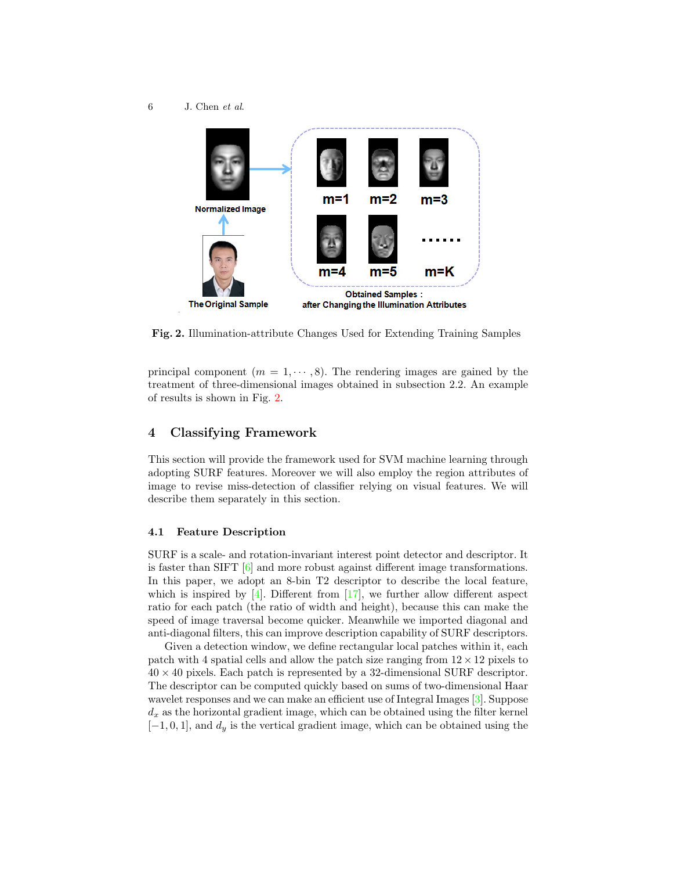6 J. Chen et al.



<span id="page-5-1"></span>Fig. 2. Illumination-attribute Changes Used for Extending Training Samples

principal component  $(m = 1, \dots, 8)$ . The rendering images are gained by the treatment of three-dimensional images obtained in subsection 2.2. An example of results is shown in Fig. [2.](#page-5-1)

# <span id="page-5-0"></span>4 Classifying Framework

This section will provide the framework used for SVM machine learning through adopting SURF features. Moreover we will also employ the region attributes of image to revise miss-detection of classifier relying on visual features. We will describe them separately in this section.

## 4.1 Feature Description

SURF is a scale- and rotation-invariant interest point detector and descriptor. It is faster than SIFT  $[6]$  and more robust against different image transformations. In this paper, we adopt an 8-bin T2 descriptor to describe the local feature, which is inspired by  $[4]$ . Different from  $[17]$ , we further allow different aspect ratio for each patch (the ratio of width and height), because this can make the speed of image traversal become quicker. Meanwhile we imported diagonal and anti-diagonal filters, this can improve description capability of SURF descriptors.

Given a detection window, we define rectangular local patches within it, each patch with 4 spatial cells and allow the patch size ranging from  $12 \times 12$  pixels to  $40 \times 40$  pixels. Each patch is represented by a 32-dimensional SURF descriptor. The descriptor can be computed quickly based on sums of two-dimensional Haar wavelet responses and we can make an efficient use of Integral Images [\[3\]](#page-13-2). Suppose  $d_x$  as the horizontal gradient image, which can be obtained using the filter kernel  $[-1, 0, 1]$ , and  $d_y$  is the vertical gradient image, which can be obtained using the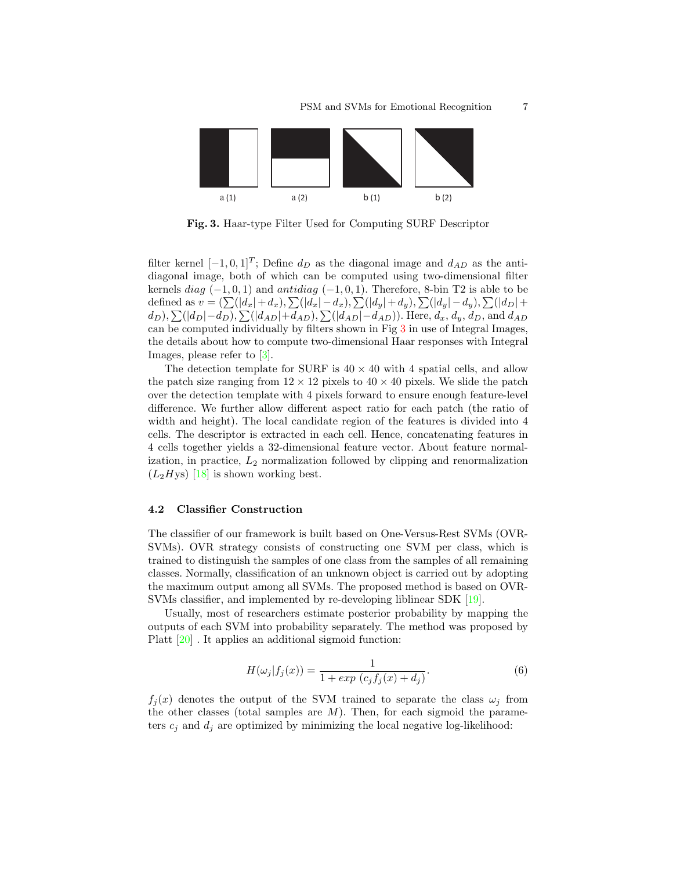

<span id="page-6-0"></span>Fig. 3. Haar-type Filter Used for Computing SURF Descriptor

filter kernel  $[-1, 0, 1]^T$ ; Define  $d_D$  as the diagonal image and  $d_{AD}$  as the antidiagonal image, both of which can be computed using two-dimensional filter kernels diag  $(-1, 0, 1)$  and antidiag  $(-1, 0, 1)$ . Therefore, 8-bin T2 is able to be defined as  $v = (\sum (|d_x| + d_x), \sum (|d_x| - d_x), \sum (|d_y| + d_y), \sum (|d_y| - d_y), \sum (|d_D| +$  $(d_D), \sum (|d_D| - d_D), \sum (|d_{AD}| + d_{AD}), \sum (|d_{AD}| - d_{AD})).$  Here,  $d_x, d_y, d_D,$  and  $d_{AD}$ can be computed individually by filters shown in Fig [3](#page-6-0) in use of Integral Images, the details about how to compute two-dimensional Haar responses with Integral Images, please refer to [\[3\]](#page-13-2).

The detection template for SURF is  $40 \times 40$  with 4 spatial cells, and allow the patch size ranging from  $12 \times 12$  pixels to  $40 \times 40$  pixels. We slide the patch over the detection template with 4 pixels forward to ensure enough feature-level difference. We further allow different aspect ratio for each patch (the ratio of width and height). The local candidate region of the features is divided into 4 cells. The descriptor is extracted in each cell. Hence, concatenating features in 4 cells together yields a 32-dimensional feature vector. About feature normalization, in practice,  $L_2$  normalization followed by clipping and renormalization  $(L_2H$ ys) [\[18\]](#page-14-10) is shown working best.

#### 4.2 Classifier Construction

The classifier of our framework is built based on One-Versus-Rest SVMs (OVR-SVMs). OVR strategy consists of constructing one SVM per class, which is trained to distinguish the samples of one class from the samples of all remaining classes. Normally, classification of an unknown object is carried out by adopting the maximum output among all SVMs. The proposed method is based on OVR-SVMs classifier, and implemented by re-developing liblinear SDK [\[19\]](#page-14-11).

Usually, most of researchers estimate posterior probability by mapping the outputs of each SVM into probability separately. The method was proposed by Platt [\[20\]](#page-14-12) . It applies an additional sigmoid function:

$$
H(\omega_j|f_j(x)) = \frac{1}{1 + exp\ (c_j f_j(x) + d_j)}.
$$
\n(6)

 $f_i(x)$  denotes the output of the SVM trained to separate the class  $\omega_i$  from the other classes (total samples are  $M$ ). Then, for each sigmoid the parameters  $c_j$  and  $d_j$  are optimized by minimizing the local negative log-likelihood: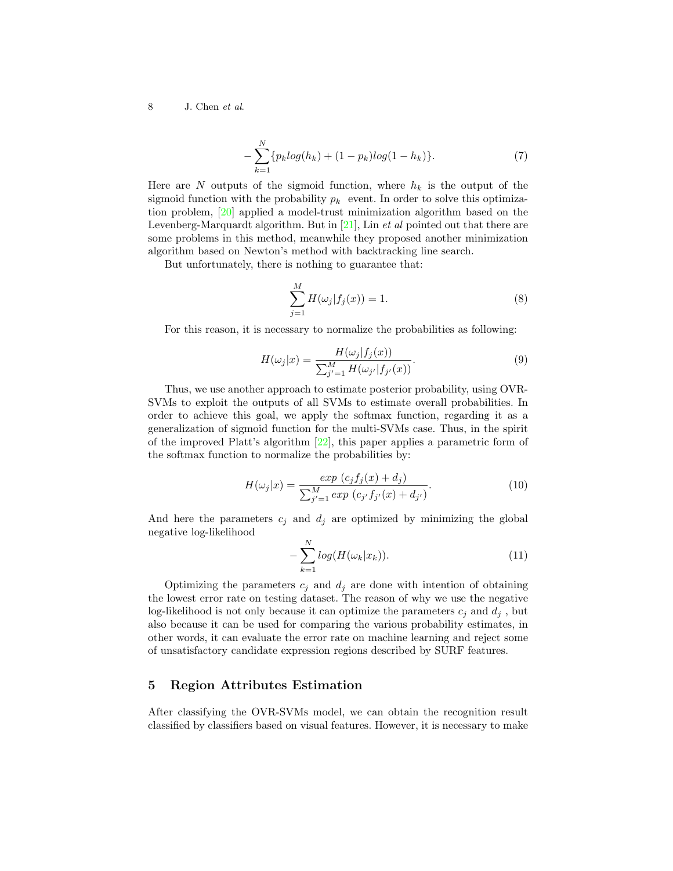$$
-\sum_{k=1}^{N} \{p_k \log(h_k) + (1 - p_k) \log(1 - h_k)\}.
$$
\n(7)

Here are N outputs of the sigmoid function, where  $h_k$  is the output of the sigmoid function with the probability  $p_k$  event. In order to solve this optimization problem, [\[20\]](#page-14-12) applied a model-trust minimization algorithm based on the Levenberg-Marquardt algorithm. But in [\[21\]](#page-14-13), Lin et al pointed out that there are some problems in this method, meanwhile they proposed another minimization algorithm based on Newton's method with backtracking line search.

But unfortunately, there is nothing to guarantee that:

$$
\sum_{j=1}^{M} H(\omega_j | f_j(x)) = 1.
$$
 (8)

For this reason, it is necessary to normalize the probabilities as following:

$$
H(\omega_j|x) = \frac{H(\omega_j|f_j(x))}{\sum_{j'=1}^M H(\omega_{j'}|f_{j'}(x))}.
$$
\n(9)

Thus, we use another approach to estimate posterior probability, using OVR-SVMs to exploit the outputs of all SVMs to estimate overall probabilities. In order to achieve this goal, we apply the softmax function, regarding it as a generalization of sigmoid function for the multi-SVMs case. Thus, in the spirit of the improved Platt's algorithm [\[22\]](#page-14-14), this paper applies a parametric form of the softmax function to normalize the probabilities by:

$$
H(\omega_j|x) = \frac{\exp\left(c_j f_j(x) + d_j\right)}{\sum_{j'=1}^{M} \exp\left(c_{j'} f_{j'}(x) + d_{j'}\right)}.
$$
\n(10)

And here the parameters  $c_j$  and  $d_j$  are optimized by minimizing the global negative log-likelihood

$$
-\sum_{k=1}^{N} \log(H(\omega_k | x_k)).\tag{11}
$$

Optimizing the parameters  $c_j$  and  $d_j$  are done with intention of obtaining the lowest error rate on testing dataset. The reason of why we use the negative log-likelihood is not only because it can optimize the parameters  $c_i$  and  $d_j$ , but also because it can be used for comparing the various probability estimates, in other words, it can evaluate the error rate on machine learning and reject some of unsatisfactory candidate expression regions described by SURF features.

## <span id="page-7-0"></span>5 Region Attributes Estimation

After classifying the OVR-SVMs model, we can obtain the recognition result classified by classifiers based on visual features. However, it is necessary to make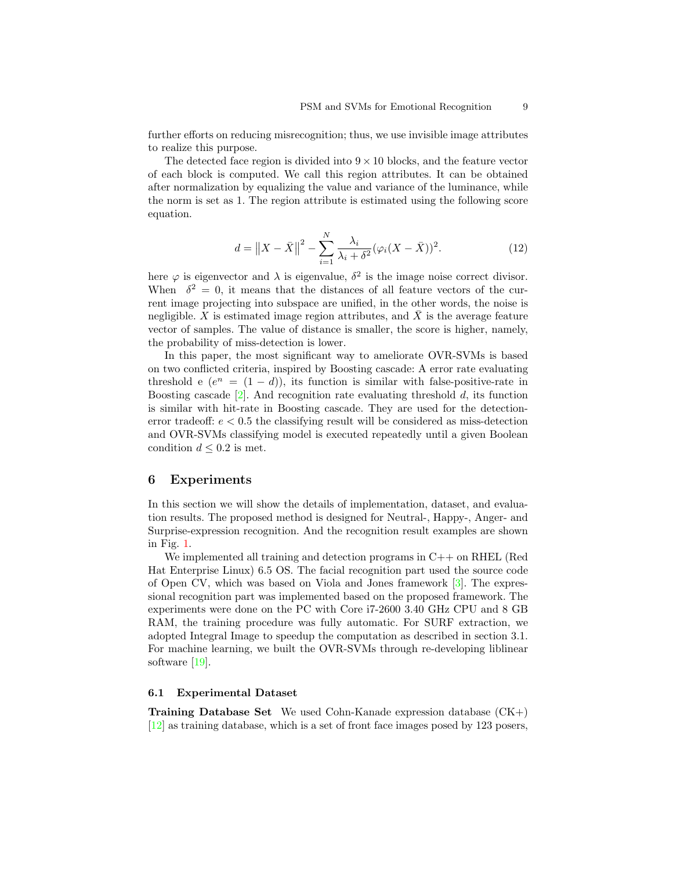further efforts on reducing misrecognition; thus, we use invisible image attributes to realize this purpose.

The detected face region is divided into  $9 \times 10$  blocks, and the feature vector of each block is computed. We call this region attributes. It can be obtained after normalization by equalizing the value and variance of the luminance, while the norm is set as 1. The region attribute is estimated using the following score equation.

$$
d = \|X - \bar{X}\|^2 - \sum_{i=1}^{N} \frac{\lambda_i}{\lambda_i + \delta^2} (\varphi_i (X - \bar{X}))^2.
$$
 (12)

here  $\varphi$  is eigenvector and  $\lambda$  is eigenvalue,  $\delta^2$  is the image noise correct divisor. When  $\delta^2 = 0$ , it means that the distances of all feature vectors of the current image projecting into subspace are unified, in the other words, the noise is negligible.  $X$  is estimated image region attributes, and  $\overline{X}$  is the average feature vector of samples. The value of distance is smaller, the score is higher, namely, the probability of miss-detection is lower.

In this paper, the most significant way to ameliorate OVR-SVMs is based on two conflicted criteria, inspired by Boosting cascade: A error rate evaluating threshold e  $(e^n = (1 - d))$ , its function is similar with false-positive-rate in Boosting cascade  $[2]$ . And recognition rate evaluating threshold d, its function is similar with hit-rate in Boosting cascade. They are used for the detectionerror tradeoff:  $e < 0.5$  the classifying result will be considered as miss-detection and OVR-SVMs classifying model is executed repeatedly until a given Boolean condition  $d \leq 0.2$  is met.

## <span id="page-8-0"></span>6 Experiments

In this section we will show the details of implementation, dataset, and evaluation results. The proposed method is designed for Neutral-, Happy-, Anger- and Surprise-expression recognition. And the recognition result examples are shown in Fig. [1.](#page-1-0)

We implemented all training and detection programs in C++ on RHEL (Red Hat Enterprise Linux) 6.5 OS. The facial recognition part used the source code of Open CV, which was based on Viola and Jones framework [\[3\]](#page-13-2). The expressional recognition part was implemented based on the proposed framework. The experiments were done on the PC with Core i7-2600 3.40 GHz CPU and 8 GB RAM, the training procedure was fully automatic. For SURF extraction, we adopted Integral Image to speedup the computation as described in section 3.1. For machine learning, we built the OVR-SVMs through re-developing liblinear software [\[19\]](#page-14-11).

#### 6.1 Experimental Dataset

Training Database Set We used Cohn-Kanade expression database (CK+) [\[12\]](#page-14-4) as training database, which is a set of front face images posed by 123 posers,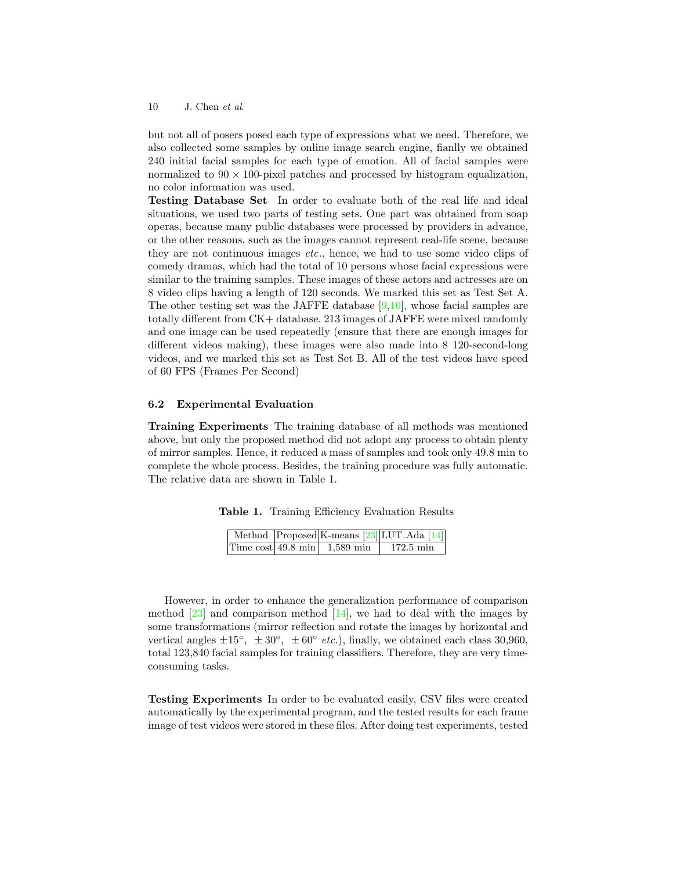but not all of posers posed each type of expressions what we need. Therefore, we also collected some samples by online image search engine, fianlly we obtained 240 initial facial samples for each type of emotion. All of facial samples were normalized to  $90 \times 100$ -pixel patches and processed by histogram equalization, no color information was used.

Testing Database Set In order to evaluate both of the real life and ideal situations, we used two parts of testing sets. One part was obtained from soap operas, because many public databases were processed by providers in advance, or the other reasons, such as the images cannot represent real-life scene, because they are not continuous images *etc.*, hence, we had to use some video clips of comedy dramas, which had the total of 10 persons whose facial expressions were similar to the training samples. These images of these actors and actresses are on 8 video clips having a length of 120 seconds. We marked this set as Test Set A. The other testing set was the JAFFE database  $[9,10]$  $[9,10]$ , whose facial samples are totally different from CK+ database. 213 images of JAFFE were mixed randomly and one image can be used repeatedly (ensure that there are enough images for different videos making), these images were also made into 8 120-second-long videos, and we marked this set as Test Set B. All of the test videos have speed of 60 FPS (Frames Per Second)

#### 6.2 Experimental Evaluation

Training Experiments The training database of all methods was mentioned above, but only the proposed method did not adopt any process to obtain plenty of mirror samples. Hence, it reduced a mass of samples and took only 49.8 min to complete the whole process. Besides, the training procedure was fully automatic. The relative data are shown in Table 1.

Table 1. Training Efficiency Evaluation Results

|  |                                                        | Method Proposed K-means [23] LUT_Ada [14] |
|--|--------------------------------------------------------|-------------------------------------------|
|  | Time $\cosh(49.8 \text{ min} \cdot 1,589 \text{ min})$ | $172.5 \text{ min}$                       |

However, in order to enhance the generalization performance of comparison method  $\left[23\right]$  and comparison method  $\left[14\right]$ , we had to deal with the images by some transformations (mirror reflection and rotate the images by horizontal and vertical angles  $\pm 15^\circ$ ,  $\pm 30^\circ$ ,  $\pm 60^\circ$  *etc.*), finally, we obtained each class 30,960, total 123,840 facial samples for training classifiers. Therefore, they are very timeconsuming tasks.

Testing Experiments In order to be evaluated easily, CSV files were created automatically by the experimental program, and the tested results for each frame image of test videos were stored in these files. After doing test experiments, tested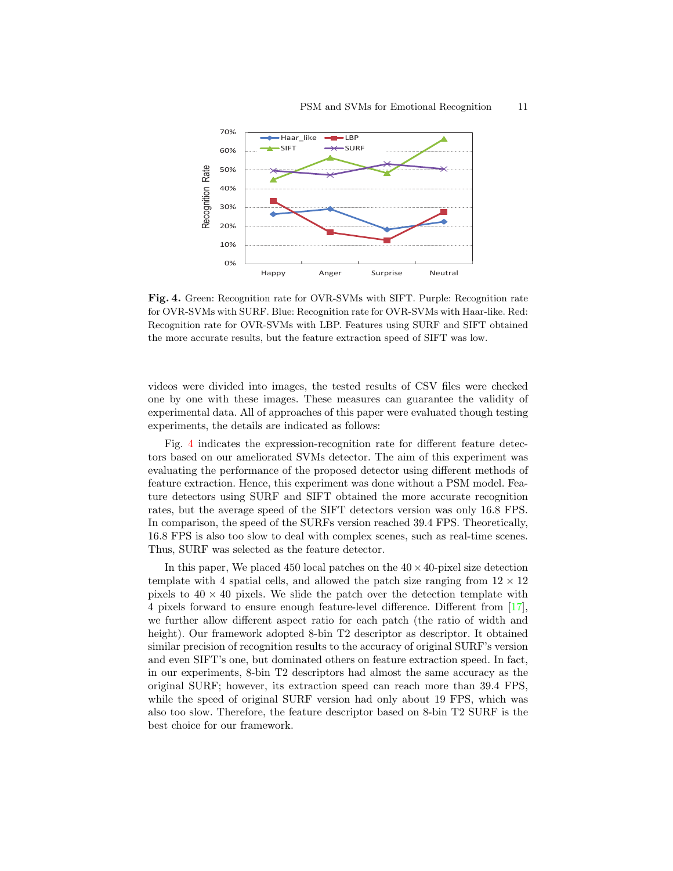<span id="page-10-0"></span>

Fig. 4. Green: Recognition rate for OVR-SVMs with SIFT. Purple: Recognition rate for OVR-SVMs with SURF. Blue: Recognition rate for OVR-SVMs with Haar-like. Red: Recognition rate for OVR-SVMs with LBP. Features using SURF and SIFT obtained the more accurate results, but the feature extraction speed of SIFT was low.

videos were divided into images, the tested results of CSV files were checked one by one with these images. These measures can guarantee the validity of experimental data. All of approaches of this paper were evaluated though testing experiments, the details are indicated as follows:

Fig. [4](#page-10-0) indicates the expression-recognition rate for different feature detectors based on our ameliorated SVMs detector. The aim of this experiment was evaluating the performance of the proposed detector using different methods of feature extraction. Hence, this experiment was done without a PSM model. Feature detectors using SURF and SIFT obtained the more accurate recognition rates, but the average speed of the SIFT detectors version was only 16.8 FPS. In comparison, the speed of the SURFs version reached 39.4 FPS. Theoretically, 16.8 FPS is also too slow to deal with complex scenes, such as real-time scenes. Thus, SURF was selected as the feature detector.

In this paper, We placed 450 local patches on the  $40 \times 40$ -pixel size detection template with 4 spatial cells, and allowed the patch size ranging from  $12 \times 12$ pixels to  $40 \times 40$  pixels. We slide the patch over the detection template with 4 pixels forward to ensure enough feature-level difference. Different from [\[17\]](#page-14-9), we further allow different aspect ratio for each patch (the ratio of width and height). Our framework adopted 8-bin T2 descriptor as descriptor. It obtained similar precision of recognition results to the accuracy of original SURF's version and even SIFT's one, but dominated others on feature extraction speed. In fact, in our experiments, 8-bin T2 descriptors had almost the same accuracy as the original SURF; however, its extraction speed can reach more than 39.4 FPS, while the speed of original SURF version had only about 19 FPS, which was also too slow. Therefore, the feature descriptor based on 8-bin T2 SURF is the best choice for our framework.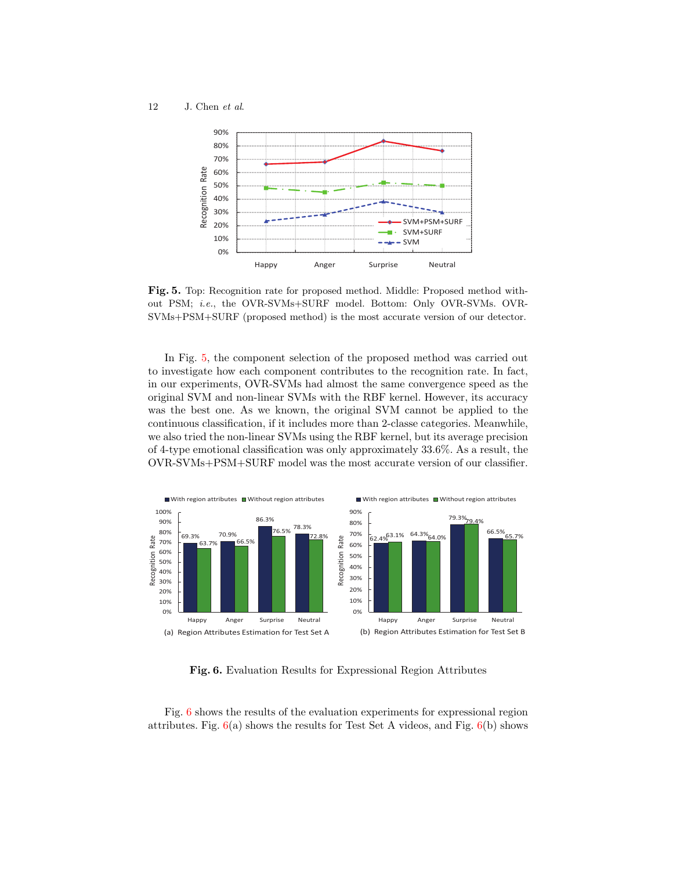<span id="page-11-0"></span>

Fig. 5. Top: Recognition rate for proposed method. Middle: Proposed method without PSM; i.e., the OVR-SVMs+SURF model. Bottom: Only OVR-SVMs. OVR-SVMs+PSM+SURF (proposed method) is the most accurate version of our detector.

In Fig. [5,](#page-11-0) the component selection of the proposed method was carried out to investigate how each component contributes to the recognition rate. In fact, in our experiments, OVR-SVMs had almost the same convergence speed as the original SVM and non-linear SVMs with the RBF kernel. However, its accuracy was the best one. As we known, the original SVM cannot be applied to the continuous classification, if it includes more than 2-classe categories. Meanwhile, we also tried the non-linear SVMs using the RBF kernel, but its average precision of 4-type emotional classification was only approximately 33.6%. As a result, the OVR-SVMs+PSM+SURF model was the most accurate version of our classifier.



<span id="page-11-1"></span>Fig. 6. Evaluation Results for Expressional Region Attributes

Fig. [6](#page-11-1) shows the results of the evaluation experiments for expressional region attributes. Fig.  $6(a)$  $6(a)$  shows the results for Test Set A videos, and Fig.  $6(b)$  shows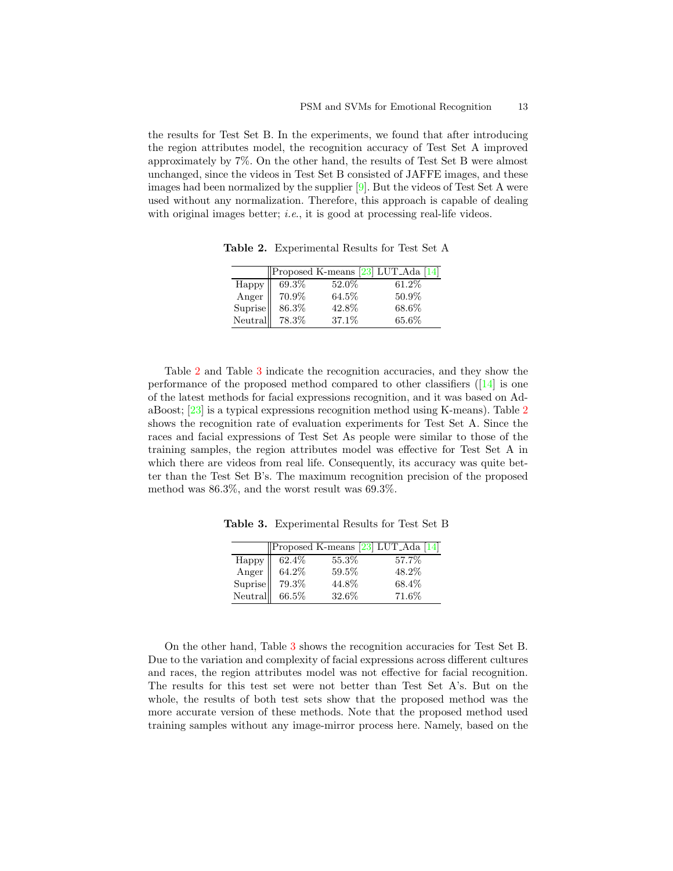the results for Test Set B. In the experiments, we found that after introducing the region attributes model, the recognition accuracy of Test Set A improved approximately by 7%. On the other hand, the results of Test Set B were almost unchanged, since the videos in Test Set B consisted of JAFFE images, and these images had been normalized by the supplier [\[9\]](#page-14-1). But the videos of Test Set A were used without any normalization. Therefore, this approach is capable of dealing with original images better; *i.e.*, it is good at processing real-life videos.

Proposed K-means [\[23\]](#page-14-15) LUT\_Ada [\[14\]](#page-14-6) Happy 69.3% 52.0% 61.2% Anger 70.9% 64.5% 50.9% Suprise  $86.3\%$  42.8% 68.6% Neutral 78.3% 37.1% 65.6%

<span id="page-12-0"></span>Table 2. Experimental Results for Test Set A

Table [2](#page-12-0) and Table [3](#page-12-1) indicate the recognition accuracies, and they show the performance of the proposed method compared to other classifiers  $([14]$  $([14]$  is one of the latest methods for facial expressions recognition, and it was based on AdaBoost; [\[23\]](#page-14-15) is a typical expressions recognition method using K-means). Table [2](#page-12-0) shows the recognition rate of evaluation experiments for Test Set A. Since the races and facial expressions of Test Set As people were similar to those of the training samples, the region attributes model was effective for Test Set A in which there are videos from real life. Consequently, its accuracy was quite better than the Test Set B's. The maximum recognition precision of the proposed method was 86.3%, and the worst result was 69.3%.

<span id="page-12-1"></span>Table 3. Experimental Results for Test Set B

|                |       |       | Proposed K-means [23] LUT_Ada [14] |
|----------------|-------|-------|------------------------------------|
|                | 62.4% | 55.3% | 57.7%                              |
| Happy<br>Anger | 64.2% | 59.5% | 48.2%                              |
| Suprise        | 79.3% | 44.8% | 68.4%                              |
| Neutral        | 66.5% | 32.6% | 71.6%                              |

On the other hand, Table [3](#page-12-1) shows the recognition accuracies for Test Set B. Due to the variation and complexity of facial expressions across different cultures and races, the region attributes model was not effective for facial recognition. The results for this test set were not better than Test Set A's. But on the whole, the results of both test sets show that the proposed method was the more accurate version of these methods. Note that the proposed method used training samples without any image-mirror process here. Namely, based on the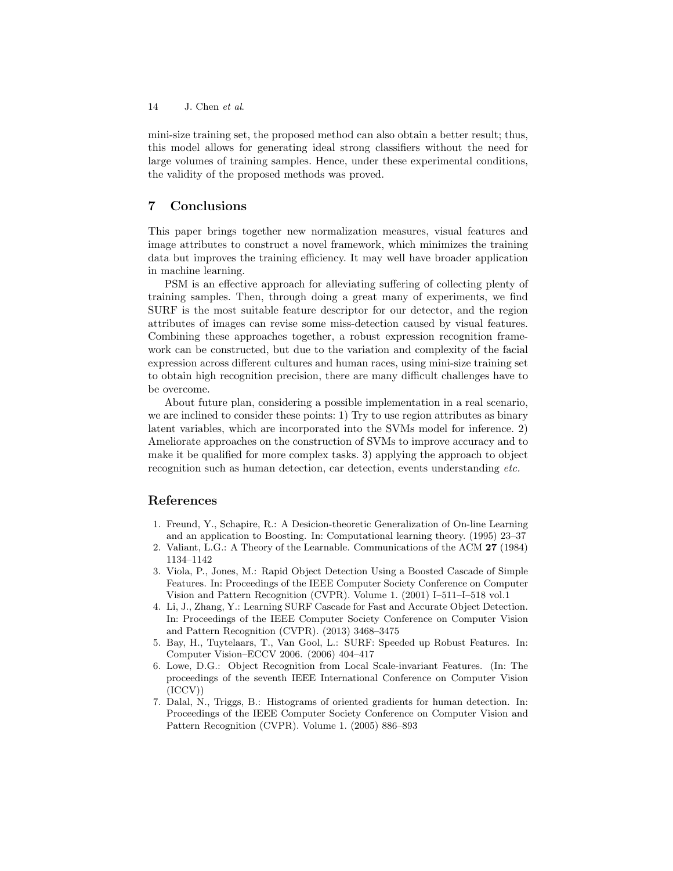mini-size training set, the proposed method can also obtain a better result; thus, this model allows for generating ideal strong classifiers without the need for large volumes of training samples. Hence, under these experimental conditions, the validity of the proposed methods was proved.

# <span id="page-13-7"></span>7 Conclusions

This paper brings together new normalization measures, visual features and image attributes to construct a novel framework, which minimizes the training data but improves the training efficiency. It may well have broader application in machine learning.

PSM is an effective approach for alleviating suffering of collecting plenty of training samples. Then, through doing a great many of experiments, we find SURF is the most suitable feature descriptor for our detector, and the region attributes of images can revise some miss-detection caused by visual features. Combining these approaches together, a robust expression recognition framework can be constructed, but due to the variation and complexity of the facial expression across different cultures and human races, using mini-size training set to obtain high recognition precision, there are many difficult challenges have to be overcome.

About future plan, considering a possible implementation in a real scenario, we are inclined to consider these points: 1) Try to use region attributes as binary latent variables, which are incorporated into the SVMs model for inference. 2) Ameliorate approaches on the construction of SVMs to improve accuracy and to make it be qualified for more complex tasks. 3) applying the approach to object recognition such as human detection, car detection, events understanding etc.

## References

- <span id="page-13-0"></span>1. Freund, Y., Schapire, R.: A Desicion-theoretic Generalization of On-line Learning and an application to Boosting. In: Computational learning theory. (1995) 23–37
- <span id="page-13-1"></span>2. Valiant, L.G.: A Theory of the Learnable. Communications of the ACM 27 (1984) 1134–1142
- <span id="page-13-2"></span>3. Viola, P., Jones, M.: Rapid Object Detection Using a Boosted Cascade of Simple Features. In: Proceedings of the IEEE Computer Society Conference on Computer Vision and Pattern Recognition (CVPR). Volume 1. (2001) I–511–I–518 vol.1
- <span id="page-13-3"></span>4. Li, J., Zhang, Y.: Learning SURF Cascade for Fast and Accurate Object Detection. In: Proceedings of the IEEE Computer Society Conference on Computer Vision and Pattern Recognition (CVPR). (2013) 3468–3475
- <span id="page-13-4"></span>5. Bay, H., Tuytelaars, T., Van Gool, L.: SURF: Speeded up Robust Features. In: Computer Vision–ECCV 2006. (2006) 404–417
- <span id="page-13-5"></span>6. Lowe, D.G.: Object Recognition from Local Scale-invariant Features. (In: The proceedings of the seventh IEEE International Conference on Computer Vision (ICCV))
- <span id="page-13-6"></span>7. Dalal, N., Triggs, B.: Histograms of oriented gradients for human detection. In: Proceedings of the IEEE Computer Society Conference on Computer Vision and Pattern Recognition (CVPR). Volume 1. (2005) 886–893